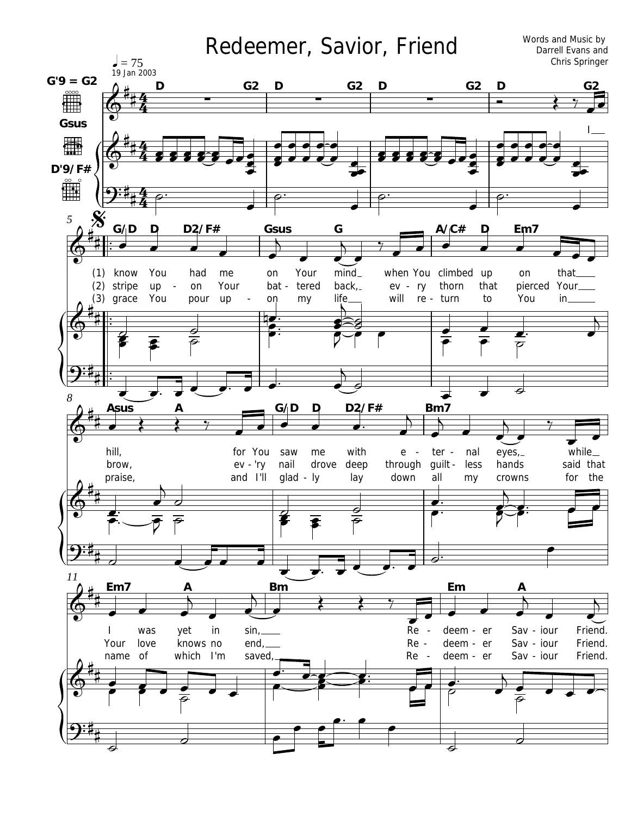## Redeemer, Savior, Friend

Words and Music by Darrell Evans and Chris Springer